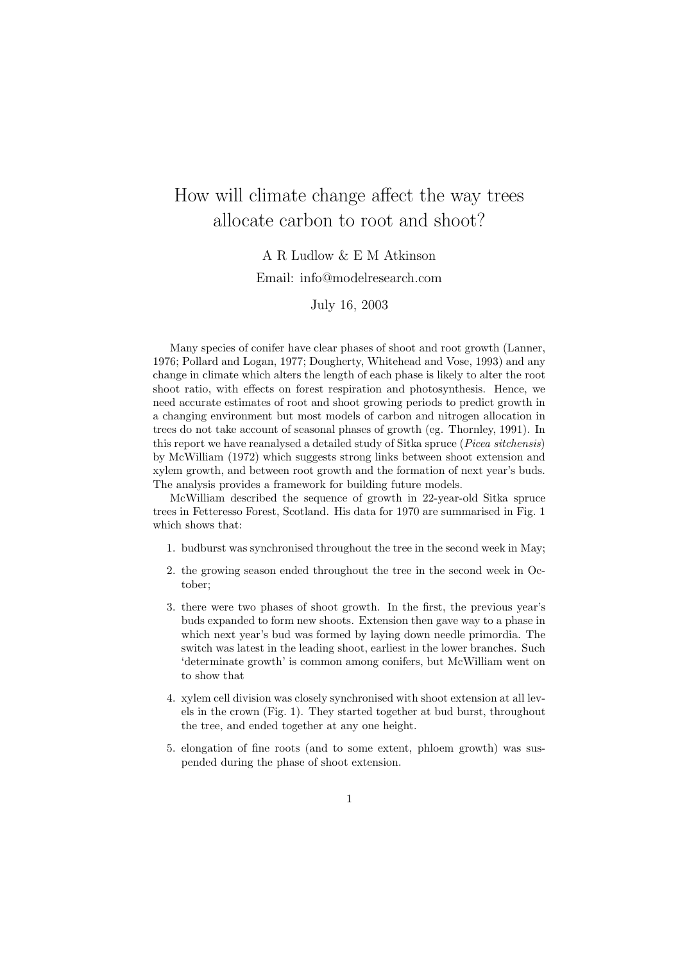# How will climate change affect the way trees allocate carbon to root and shoot?

### A R Ludlow & E M Atkinson

#### Email: info@modelresearch.com

July 16, 2003

Many species of conifer have clear phases of shoot and root growth (Lanner, 1976; Pollard and Logan, 1977; Dougherty, Whitehead and Vose, 1993) and any change in climate which alters the length of each phase is likely to alter the root shoot ratio, with effects on forest respiration and photosynthesis. Hence, we need accurate estimates of root and shoot growing periods to predict growth in a changing environment but most models of carbon and nitrogen allocation in trees do not take account of seasonal phases of growth (eg. Thornley, 1991). In this report we have reanalysed a detailed study of Sitka spruce (Picea sitchensis) by McWilliam (1972) which suggests strong links between shoot extension and xylem growth, and between root growth and the formation of next year's buds. The analysis provides a framework for building future models.

McWilliam described the sequence of growth in 22-year-old Sitka spruce trees in Fetteresso Forest, Scotland. His data for 1970 are summarised in Fig. 1 which shows that:

- 1. budburst was synchronised throughout the tree in the second week in May;
- 2. the growing season ended throughout the tree in the second week in October;
- 3. there were two phases of shoot growth. In the first, the previous year's buds expanded to form new shoots. Extension then gave way to a phase in which next year's bud was formed by laying down needle primordia. The switch was latest in the leading shoot, earliest in the lower branches. Such 'determinate growth' is common among conifers, but McWilliam went on to show that
- 4. xylem cell division was closely synchronised with shoot extension at all levels in the crown (Fig. 1). They started together at bud burst, throughout the tree, and ended together at any one height.
- 5. elongation of fine roots (and to some extent, phloem growth) was suspended during the phase of shoot extension.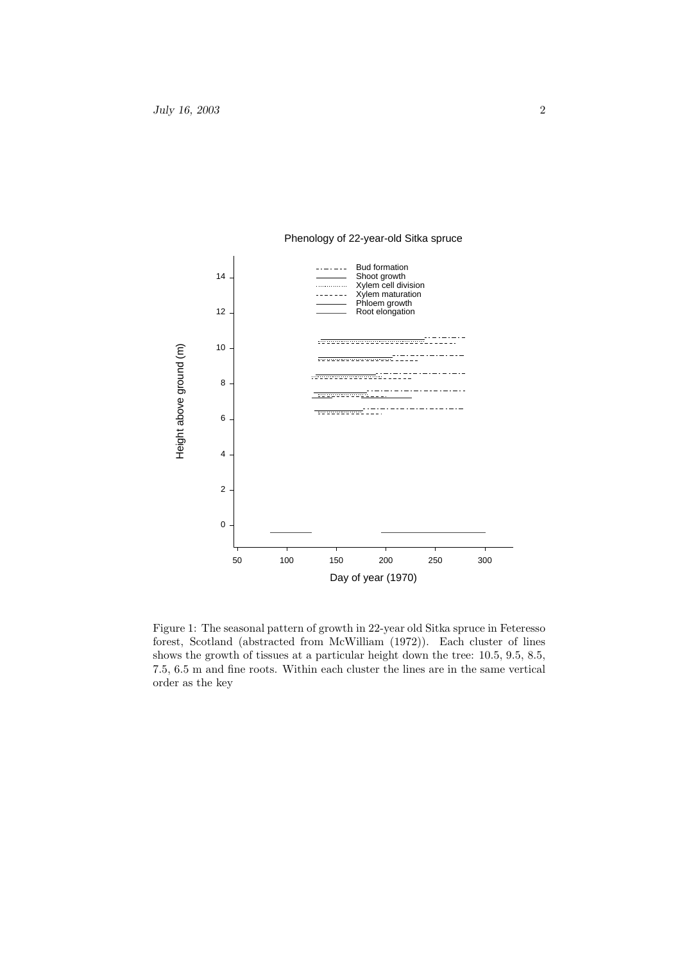

Phenology of 22-year-old Sitka spruce

Figure 1: The seasonal pattern of growth in 22-year old Sitka spruce in Feteresso forest, Scotland (abstracted from McWilliam (1972)). Each cluster of lines shows the growth of tissues at a particular height down the tree: 10.5, 9.5, 8.5, 7.5, 6.5 m and fine roots. Within each cluster the lines are in the same vertical order as the key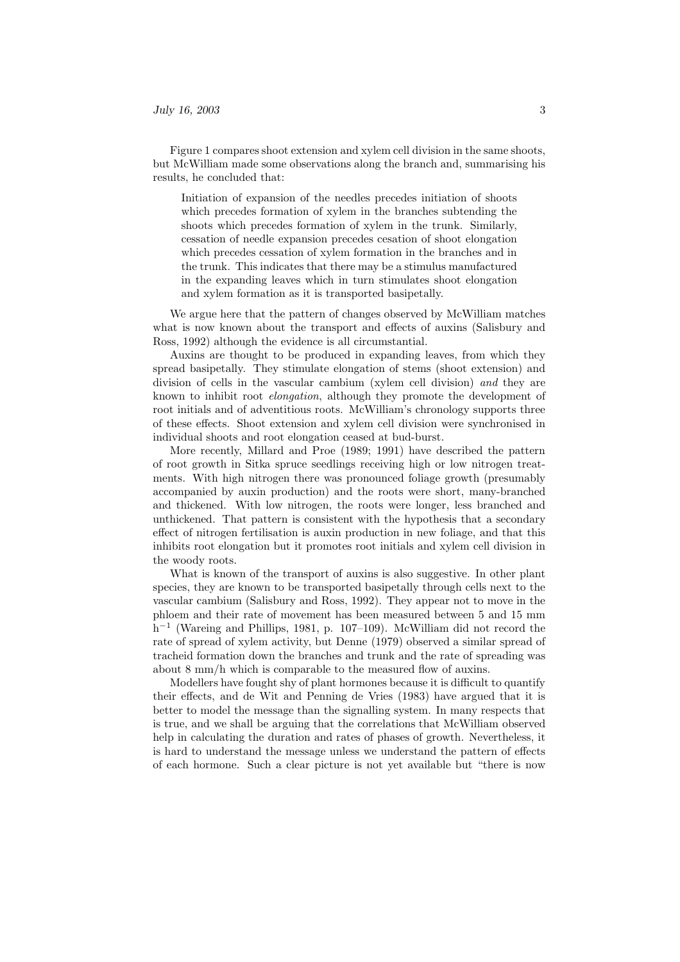Figure 1 compares shoot extension and xylem cell division in the same shoots, but McWilliam made some observations along the branch and, summarising his results, he concluded that:

Initiation of expansion of the needles precedes initiation of shoots which precedes formation of xylem in the branches subtending the shoots which precedes formation of xylem in the trunk. Similarly, cessation of needle expansion precedes cesation of shoot elongation which precedes cessation of xylem formation in the branches and in the trunk. This indicates that there may be a stimulus manufactured in the expanding leaves which in turn stimulates shoot elongation and xylem formation as it is transported basipetally.

We argue here that the pattern of changes observed by McWilliam matches what is now known about the transport and effects of auxins (Salisbury and Ross, 1992) although the evidence is all circumstantial.

Auxins are thought to be produced in expanding leaves, from which they spread basipetally. They stimulate elongation of stems (shoot extension) and division of cells in the vascular cambium (xylem cell division) and they are known to inhibit root elongation, although they promote the development of root initials and of adventitious roots. McWilliam's chronology supports three of these effects. Shoot extension and xylem cell division were synchronised in individual shoots and root elongation ceased at bud-burst.

More recently, Millard and Proe (1989; 1991) have described the pattern of root growth in Sitka spruce seedlings receiving high or low nitrogen treatments. With high nitrogen there was pronounced foliage growth (presumably accompanied by auxin production) and the roots were short, many-branched and thickened. With low nitrogen, the roots were longer, less branched and unthickened. That pattern is consistent with the hypothesis that a secondary effect of nitrogen fertilisation is auxin production in new foliage, and that this inhibits root elongation but it promotes root initials and xylem cell division in the woody roots.

What is known of the transport of auxins is also suggestive. In other plant species, they are known to be transported basipetally through cells next to the vascular cambium (Salisbury and Ross, 1992). They appear not to move in the phloem and their rate of movement has been measured between 5 and 15 mm h −1 (Wareing and Phillips, 1981, p. 107–109). McWilliam did not record the rate of spread of xylem activity, but Denne (1979) observed a similar spread of tracheid formation down the branches and trunk and the rate of spreading was about 8 mm/h which is comparable to the measured flow of auxins.

Modellers have fought shy of plant hormones because it is difficult to quantify their effects, and de Wit and Penning de Vries (1983) have argued that it is better to model the message than the signalling system. In many respects that is true, and we shall be arguing that the correlations that McWilliam observed help in calculating the duration and rates of phases of growth. Nevertheless, it is hard to understand the message unless we understand the pattern of effects of each hormone. Such a clear picture is not yet available but "there is now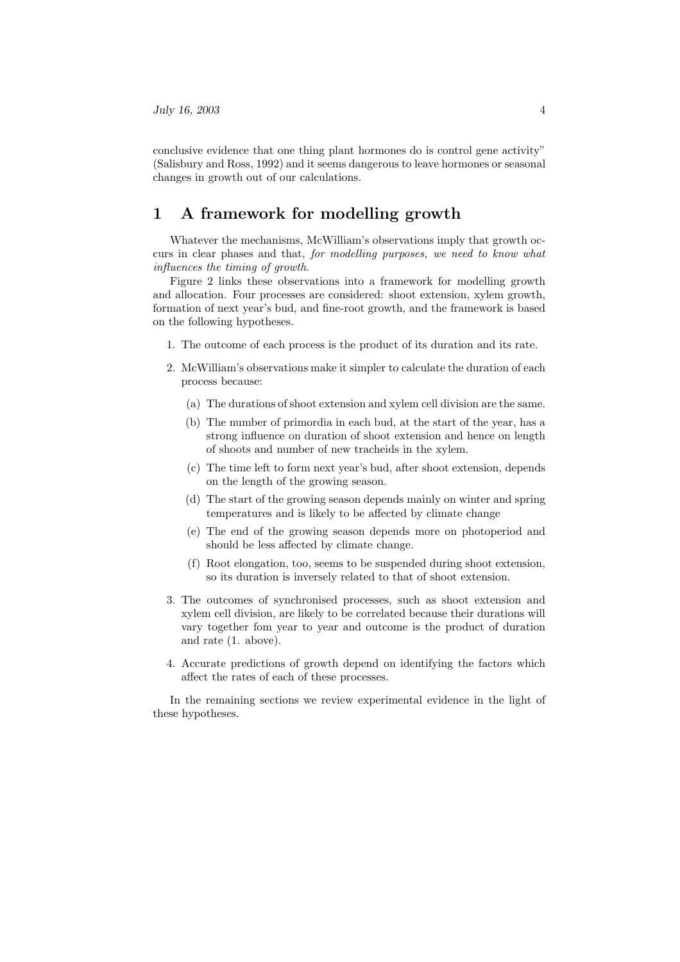conclusive evidence that one thing plant hormones do is control gene activity" (Salisbury and Ross, 1992) and it seems dangerous to leave hormones or seasonal changes in growth out of our calculations.

### 1 A framework for modelling growth

Whatever the mechanisms, McWilliam's observations imply that growth occurs in clear phases and that, for modelling purposes, we need to know what influences the timing of growth.

Figure 2 links these observations into a framework for modelling growth and allocation. Four processes are considered: shoot extension, xylem growth, formation of next year's bud, and fine-root growth, and the framework is based on the following hypotheses.

- 1. The outcome of each process is the product of its duration and its rate.
- 2. McWilliam's observations make it simpler to calculate the duration of each process because:
	- (a) The durations of shoot extension and xylem cell division are the same.
	- (b) The number of primordia in each bud, at the start of the year, has a strong influence on duration of shoot extension and hence on length of shoots and number of new tracheids in the xylem.
	- (c) The time left to form next year's bud, after shoot extension, depends on the length of the growing season.
	- (d) The start of the growing season depends mainly on winter and spring temperatures and is likely to be affected by climate change
	- (e) The end of the growing season depends more on photoperiod and should be less affected by climate change.
	- (f) Root elongation, too, seems to be suspended during shoot extension, so its duration is inversely related to that of shoot extension.
- 3. The outcomes of synchronised processes, such as shoot extension and xylem cell division, are likely to be correlated because their durations will vary together fom year to year and outcome is the product of duration and rate (1. above).
- 4. Accurate predictions of growth depend on identifying the factors which affect the rates of each of these processes.

In the remaining sections we review experimental evidence in the light of these hypotheses.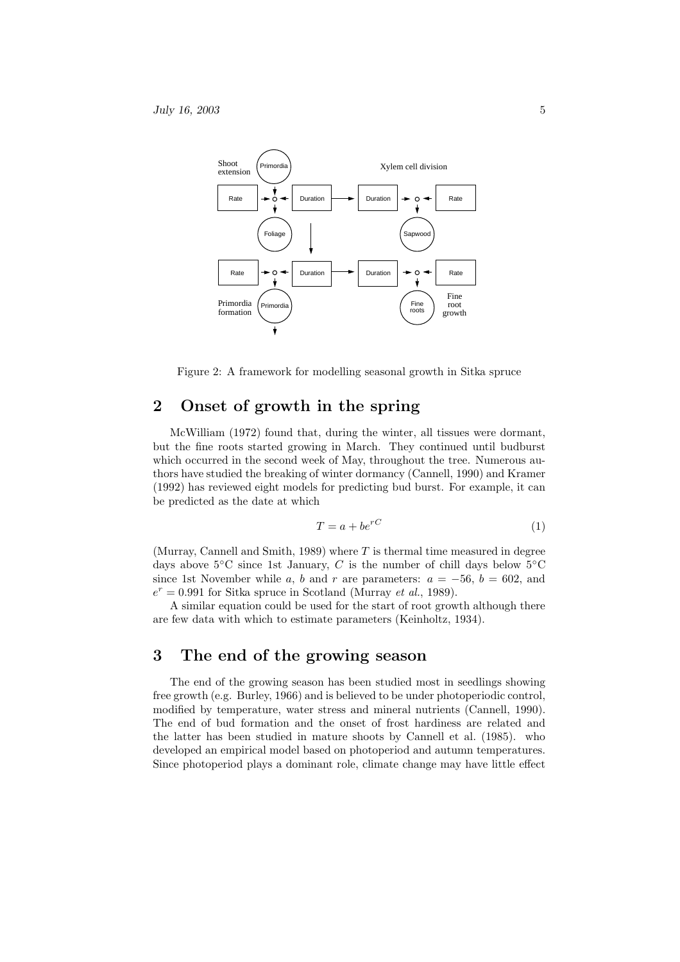

Figure 2: A framework for modelling seasonal growth in Sitka spruce

# 2 Onset of growth in the spring

McWilliam (1972) found that, during the winter, all tissues were dormant, but the fine roots started growing in March. They continued until budburst which occurred in the second week of May, throughout the tree. Numerous authors have studied the breaking of winter dormancy (Cannell, 1990) and Kramer (1992) has reviewed eight models for predicting bud burst. For example, it can be predicted as the date at which

$$
T = a + be^{rC} \tag{1}
$$

(Murray, Cannell and Smith, 1989) where  $T$  is thermal time measured in degree days above  $5^{\circ}$ C since 1st January, C is the number of chill days below  $5^{\circ}$ C since 1st November while a, b and r are parameters:  $a = -56$ ,  $b = 602$ , and  $e^r = 0.991$  for Sitka spruce in Scotland (Murray et al., 1989).

A similar equation could be used for the start of root growth although there are few data with which to estimate parameters (Keinholtz, 1934).

## 3 The end of the growing season

The end of the growing season has been studied most in seedlings showing free growth (e.g. Burley, 1966) and is believed to be under photoperiodic control, modified by temperature, water stress and mineral nutrients (Cannell, 1990). The end of bud formation and the onset of frost hardiness are related and the latter has been studied in mature shoots by Cannell et al. (1985). who developed an empirical model based on photoperiod and autumn temperatures. Since photoperiod plays a dominant role, climate change may have little effect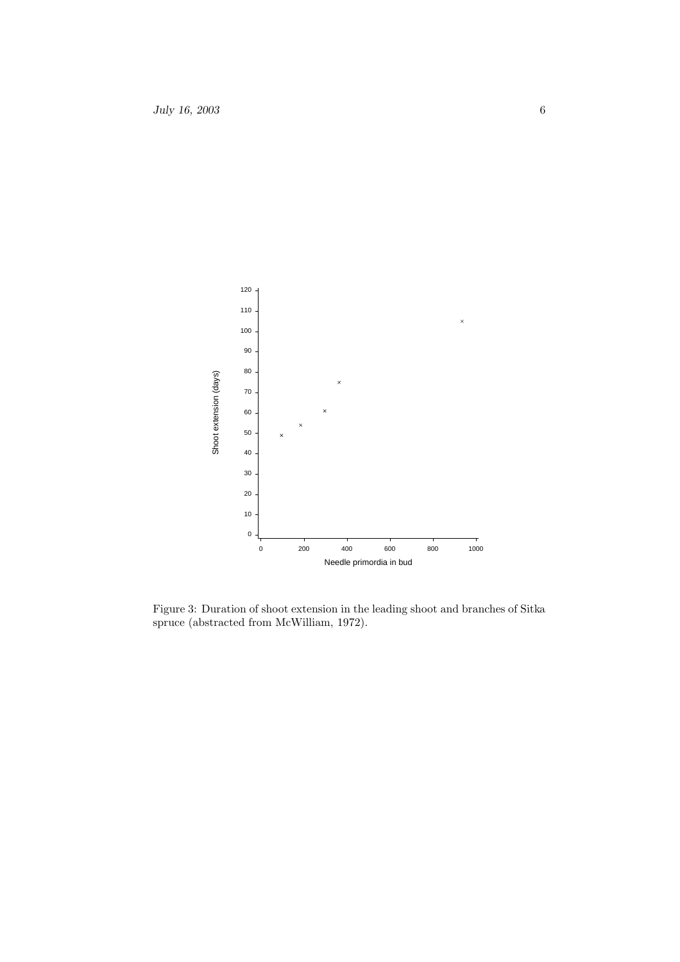

Figure 3: Duration of shoot extension in the leading shoot and branches of Sitka spruce (abstracted from McWilliam, 1972).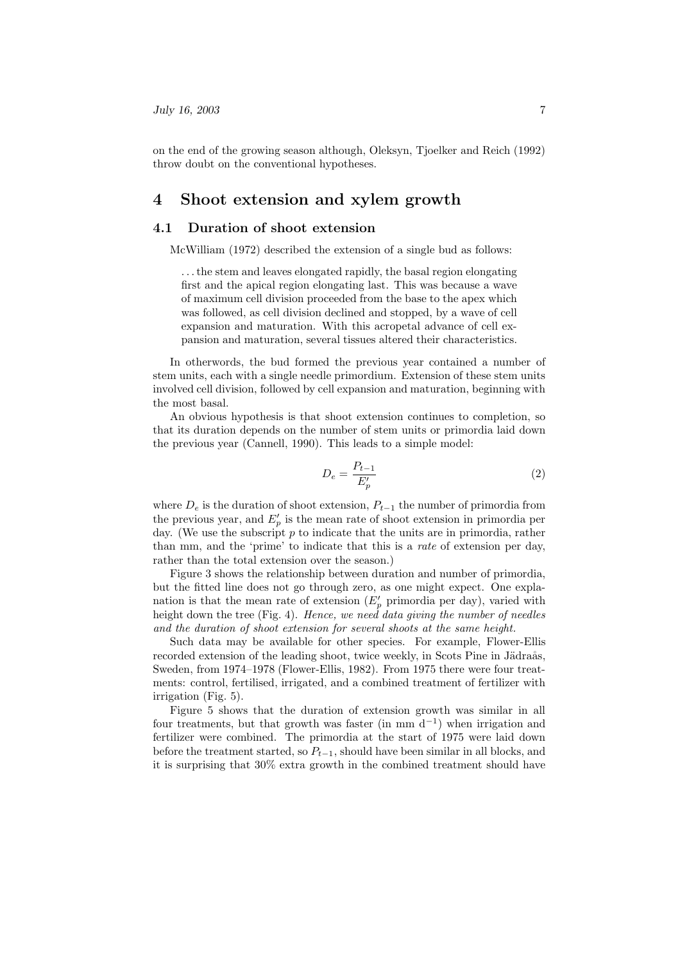on the end of the growing season although, Oleksyn, Tjoelker and Reich (1992) throw doubt on the conventional hypotheses.

### 4 Shoot extension and xylem growth

#### 4.1 Duration of shoot extension

McWilliam (1972) described the extension of a single bud as follows:

. . .the stem and leaves elongated rapidly, the basal region elongating first and the apical region elongating last. This was because a wave of maximum cell division proceeded from the base to the apex which was followed, as cell division declined and stopped, by a wave of cell expansion and maturation. With this acropetal advance of cell expansion and maturation, several tissues altered their characteristics.

In otherwords, the bud formed the previous year contained a number of stem units, each with a single needle primordium. Extension of these stem units involved cell division, followed by cell expansion and maturation, beginning with the most basal.

An obvious hypothesis is that shoot extension continues to completion, so that its duration depends on the number of stem units or primordia laid down the previous year (Cannell, 1990). This leads to a simple model:

$$
D_e = \frac{P_{t-1}}{E_p'}\tag{2}
$$

where  $D_e$  is the duration of shoot extension,  $P_{t-1}$  the number of primordia from the previous year, and  $E_p'$  is the mean rate of shoot extension in primordia per day. (We use the subscript  $p$  to indicate that the units are in primordia, rather than mm, and the 'prime' to indicate that this is a rate of extension per day, rather than the total extension over the season.)

Figure 3 shows the relationship between duration and number of primordia, but the fitted line does not go through zero, as one might expect. One explanation is that the mean rate of extension  $(E'_p$  primordia per day), varied with height down the tree (Fig. 4). Hence, we need data giving the number of needles and the duration of shoot extension for several shoots at the same height.

Such data may be available for other species. For example, Flower-Ellis recorded extension of the leading shoot, twice weekly, in Scots Pine in Jädraås, Sweden, from 1974–1978 (Flower-Ellis, 1982). From 1975 there were four treatments: control, fertilised, irrigated, and a combined treatment of fertilizer with irrigation (Fig. 5).

Figure 5 shows that the duration of extension growth was similar in all four treatments, but that growth was faster (in mm  $d^{-1}$ ) when irrigation and fertilizer were combined. The primordia at the start of 1975 were laid down before the treatment started, so  $P_{t-1}$ , should have been similar in all blocks, and it is surprising that 30% extra growth in the combined treatment should have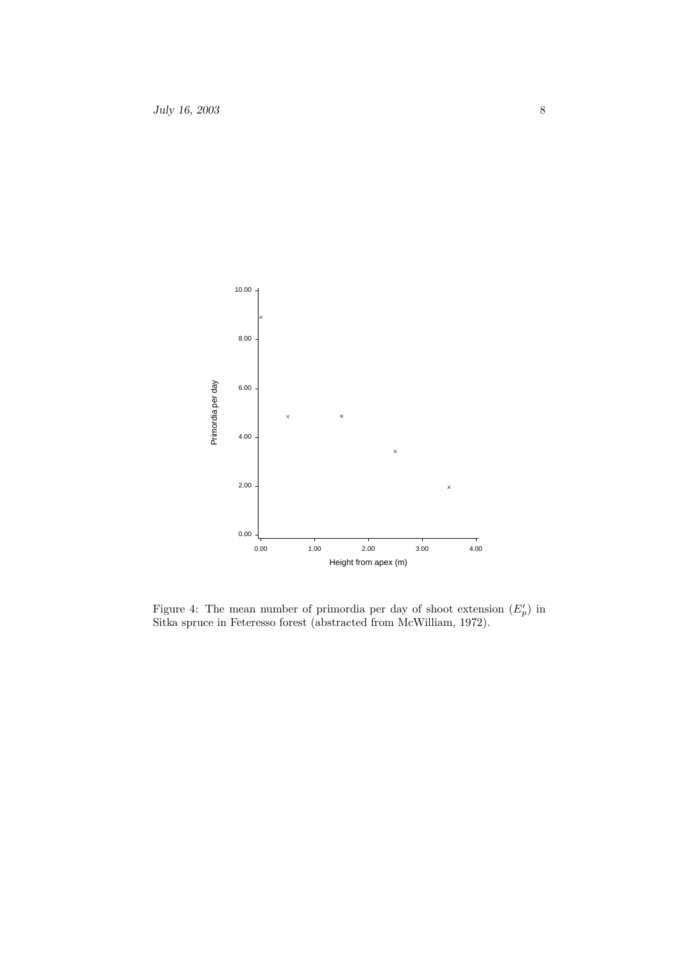

Figure 4: The mean number of primordia per day of shoot extension  $(E'_p)$  in Sitka spruce in Feteresso forest (abstracted from McWilliam, 1972).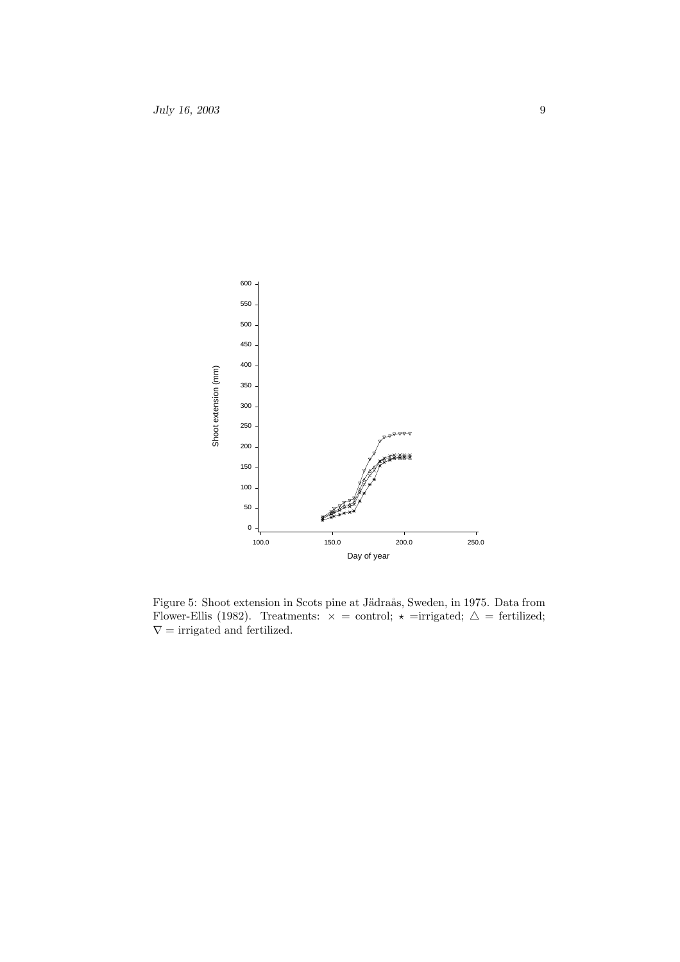

Figure 5: Shoot extension in Scots pine at Jädraås, Sweden, in 1975. Data from Flower-Ellis (1982). Treatments:  $\times =$  control;  $\star$  =irrigated;  $\Delta =$  fertilized;  $\nabla$  = irrigated and fertilized.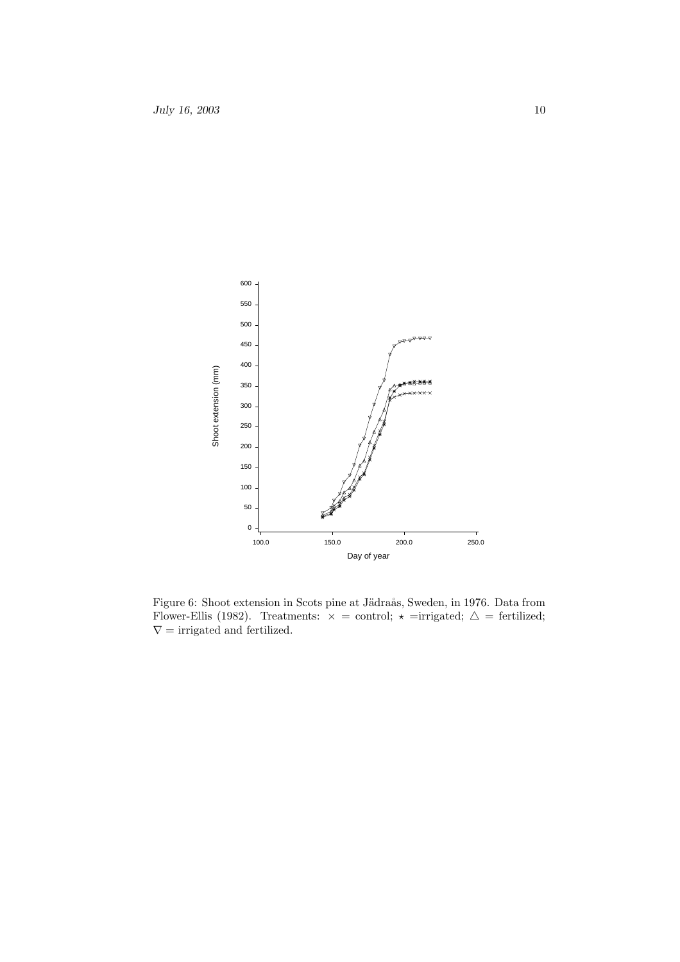

Figure 6: Shoot extension in Scots pine at Jädraås, Sweden, in 1976. Data from Flower-Ellis (1982). Treatments:  $\times =$  control;  $\star$  =irrigated;  $\Delta =$  fertilized;  $\nabla$  = irrigated and fertilized.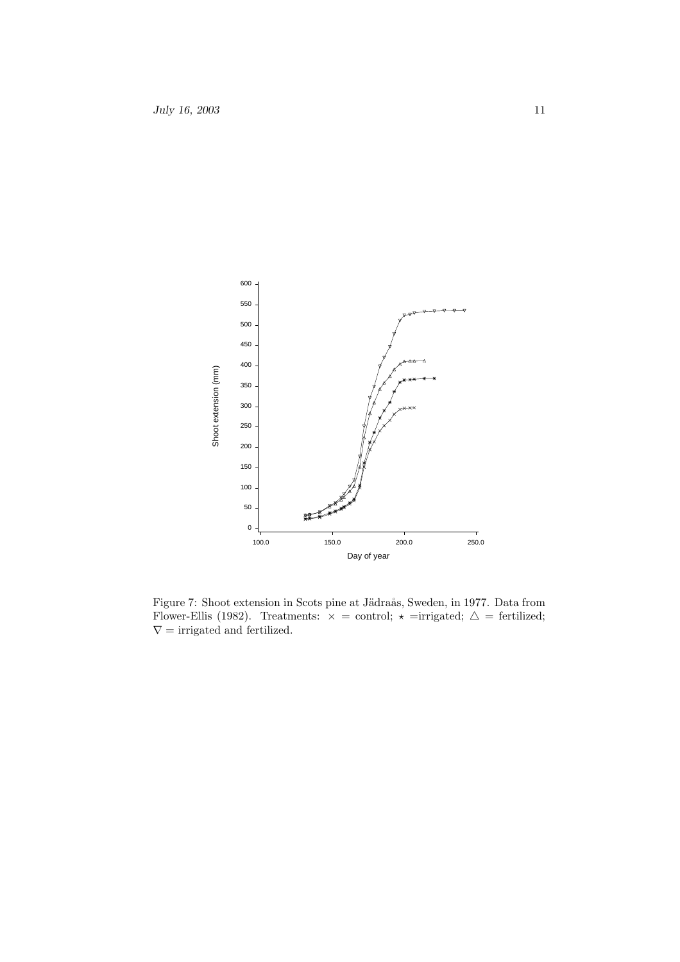

Figure 7: Shoot extension in Scots pine at Jädraås, Sweden, in 1977. Data from Flower-Ellis (1982). Treatments:  $\times =$  control;  $\star$  =irrigated;  $\Delta =$  fertilized;  $\nabla$  = irrigated and fertilized.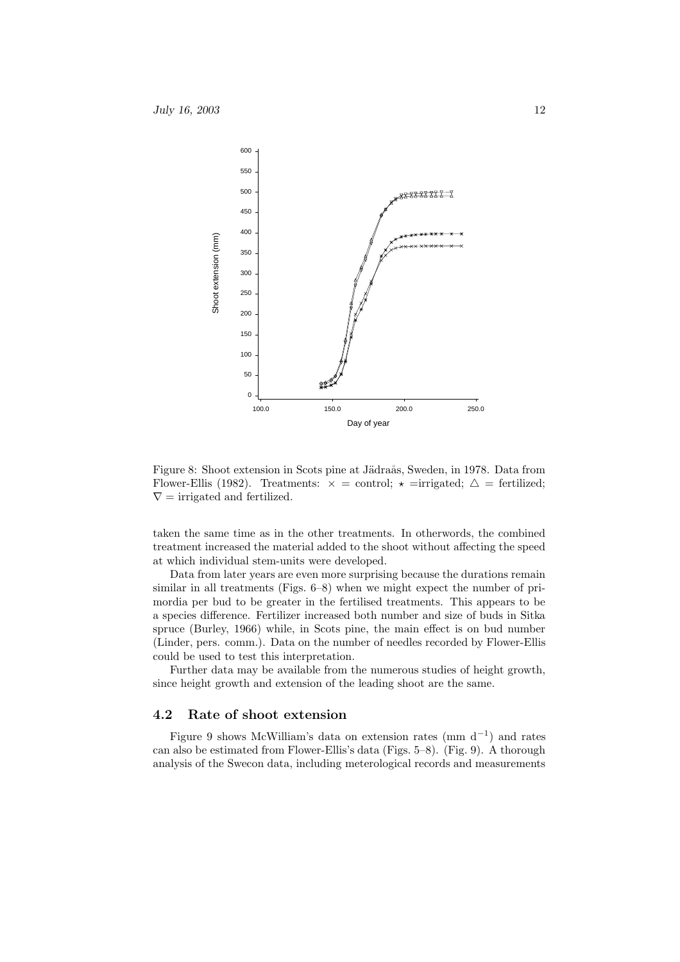

Figure 8: Shoot extension in Scots pine at Jädraås, Sweden, in 1978. Data from Flower-Ellis (1982). Treatments:  $\times =$  control;  $\star =$ irrigated;  $\Delta =$  fertilized;  $\nabla$  = irrigated and fertilized.

taken the same time as in the other treatments. In otherwords, the combined treatment increased the material added to the shoot without affecting the speed at which individual stem-units were developed.

Data from later years are even more surprising because the durations remain similar in all treatments (Figs. 6–8) when we might expect the number of primordia per bud to be greater in the fertilised treatments. This appears to be a species difference. Fertilizer increased both number and size of buds in Sitka spruce (Burley, 1966) while, in Scots pine, the main effect is on bud number (Linder, pers. comm.). Data on the number of needles recorded by Flower-Ellis could be used to test this interpretation.

Further data may be available from the numerous studies of height growth, since height growth and extension of the leading shoot are the same.

#### 4.2 Rate of shoot extension

Figure 9 shows McWilliam's data on extension rates (mm  $d^{-1}$ ) and rates can also be estimated from Flower-Ellis's data (Figs. 5–8). (Fig. 9). A thorough analysis of the Swecon data, including meterological records and measurements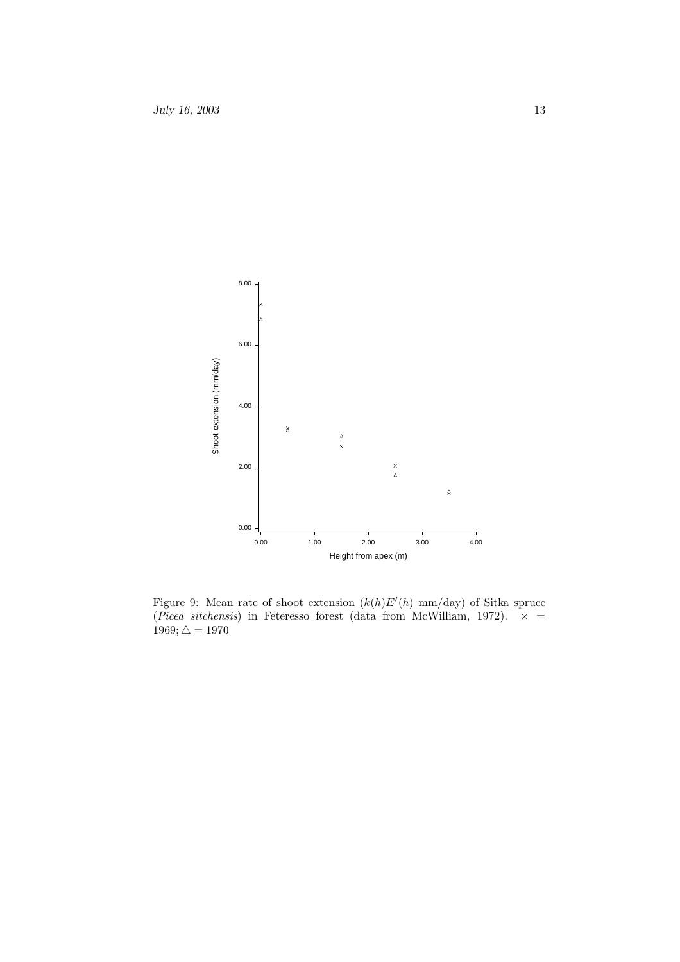

Figure 9: Mean rate of shoot extension  $(k(h)E'(h)$  mm/day) of Sitka spruce (*Picea sitchensis*) in Feteresso forest (data from McWilliam, 1972).  $\times$  =  $1969; \triangle = 1970$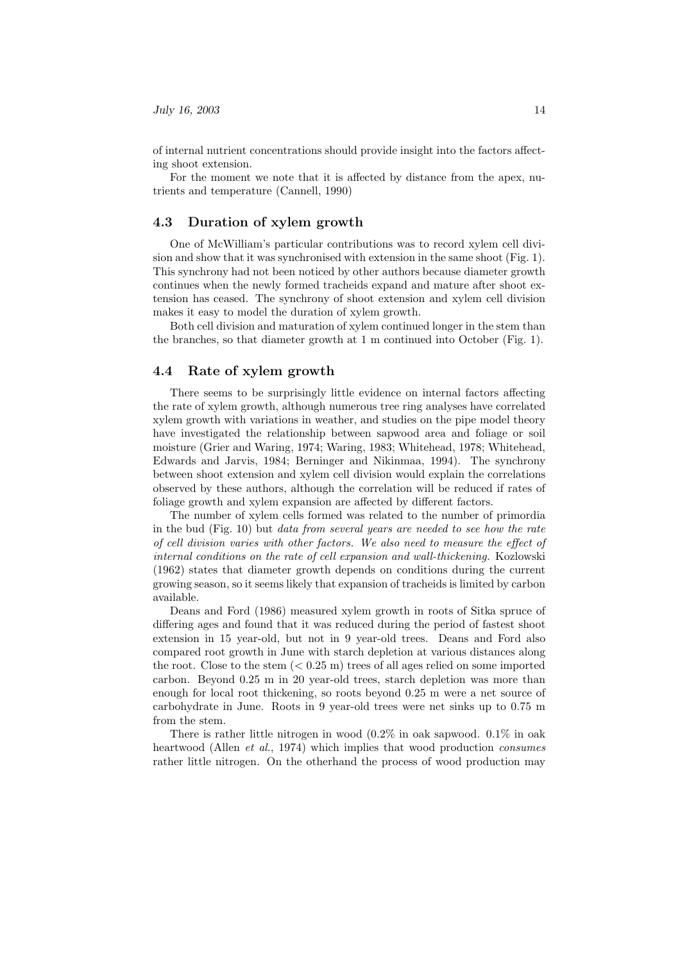of internal nutrient concentrations should provide insight into the factors affecting shoot extension.

For the moment we note that it is affected by distance from the apex, nutrients and temperature (Cannell, 1990)

#### 4.3 Duration of xylem growth

One of McWilliam's particular contributions was to record xylem cell division and show that it was synchronised with extension in the same shoot (Fig. 1). This synchrony had not been noticed by other authors because diameter growth continues when the newly formed tracheids expand and mature after shoot extension has ceased. The synchrony of shoot extension and xylem cell division makes it easy to model the duration of xylem growth.

Both cell division and maturation of xylem continued longer in the stem than the branches, so that diameter growth at 1 m continued into October (Fig. 1).

#### 4.4 Rate of xylem growth

There seems to be surprisingly little evidence on internal factors affecting the rate of xylem growth, although numerous tree ring analyses have correlated xylem growth with variations in weather, and studies on the pipe model theory have investigated the relationship between sapwood area and foliage or soil moisture (Grier and Waring, 1974; Waring, 1983; Whitehead, 1978; Whitehead, Edwards and Jarvis, 1984; Berninger and Nikinmaa, 1994). The synchrony between shoot extension and xylem cell division would explain the correlations observed by these authors, although the correlation will be reduced if rates of foliage growth and xylem expansion are affected by different factors.

The number of xylem cells formed was related to the number of primordia in the bud (Fig. 10) but data from several years are needed to see how the rate of cell division varies with other factors. We also need to measure the effect of internal conditions on the rate of cell expansion and wall-thickening. Kozlowski (1962) states that diameter growth depends on conditions during the current growing season, so it seems likely that expansion of tracheids is limited by carbon available.

Deans and Ford (1986) measured xylem growth in roots of Sitka spruce of differing ages and found that it was reduced during the period of fastest shoot extension in 15 year-old, but not in 9 year-old trees. Deans and Ford also compared root growth in June with starch depletion at various distances along the root. Close to the stem  $( $0.25 \text{ m}$ )$  trees of all ages relied on some imported carbon. Beyond 0.25 m in 20 year-old trees, starch depletion was more than enough for local root thickening, so roots beyond 0.25 m were a net source of carbohydrate in June. Roots in 9 year-old trees were net sinks up to 0.75 m from the stem.

There is rather little nitrogen in wood  $(0.2\%$  in oak sapwood.  $0.1\%$  in oak heartwood (Allen *et al.*, 1974) which implies that wood production *consumes* rather little nitrogen. On the otherhand the process of wood production may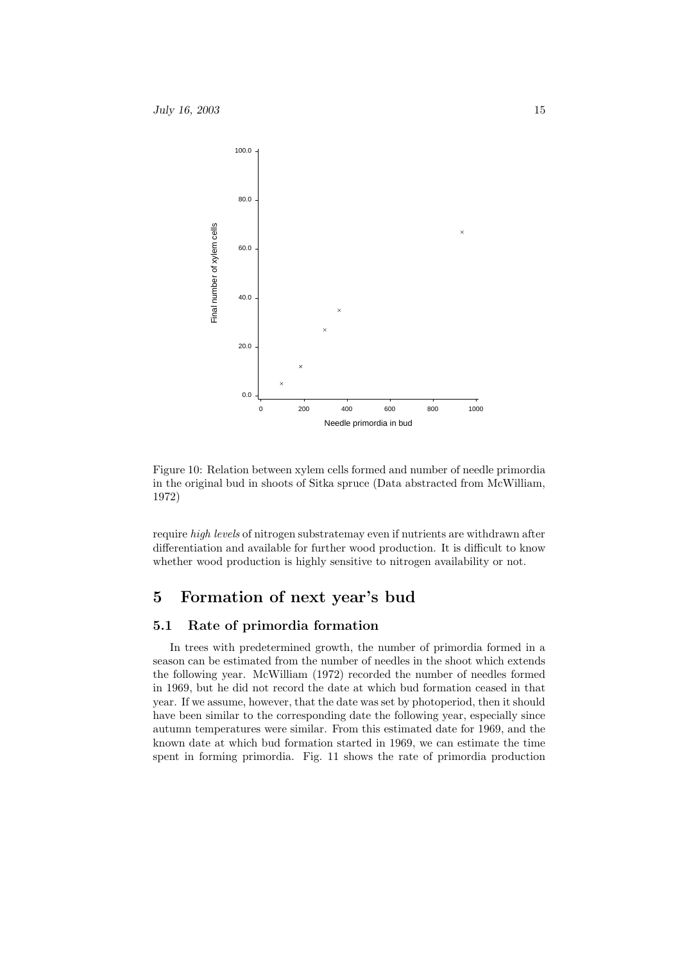

Figure 10: Relation between xylem cells formed and number of needle primordia in the original bud in shoots of Sitka spruce (Data abstracted from McWilliam, 1972)

require high levels of nitrogen substratemay even if nutrients are withdrawn after differentiation and available for further wood production. It is difficult to know whether wood production is highly sensitive to nitrogen availability or not.

# 5 Formation of next year's bud

### 5.1 Rate of primordia formation

In trees with predetermined growth, the number of primordia formed in a season can be estimated from the number of needles in the shoot which extends the following year. McWilliam (1972) recorded the number of needles formed in 1969, but he did not record the date at which bud formation ceased in that year. If we assume, however, that the date was set by photoperiod, then it should have been similar to the corresponding date the following year, especially since autumn temperatures were similar. From this estimated date for 1969, and the known date at which bud formation started in 1969, we can estimate the time spent in forming primordia. Fig. 11 shows the rate of primordia production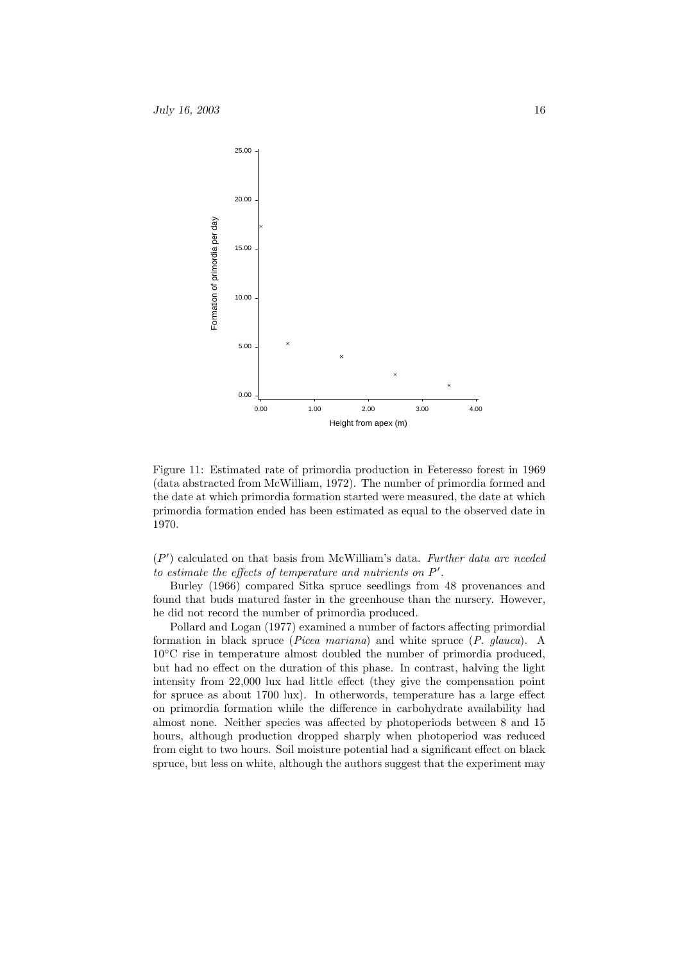

Figure 11: Estimated rate of primordia production in Feteresso forest in 1969 (data abstracted from McWilliam, 1972). The number of primordia formed and the date at which primordia formation started were measured, the date at which primordia formation ended has been estimated as equal to the observed date in 1970.

 $(P')$  calculated on that basis from McWilliam's data. Further data are needed to estimate the effects of temperature and nutrients on  $P'$ .

Burley (1966) compared Sitka spruce seedlings from 48 provenances and found that buds matured faster in the greenhouse than the nursery. However, he did not record the number of primordia produced.

Pollard and Logan (1977) examined a number of factors affecting primordial formation in black spruce (Picea mariana) and white spruce (P. glauca). A 10◦C rise in temperature almost doubled the number of primordia produced, but had no effect on the duration of this phase. In contrast, halving the light intensity from 22,000 lux had little effect (they give the compensation point for spruce as about 1700 lux). In otherwords, temperature has a large effect on primordia formation while the difference in carbohydrate availability had almost none. Neither species was affected by photoperiods between 8 and 15 hours, although production dropped sharply when photoperiod was reduced from eight to two hours. Soil moisture potential had a significant effect on black spruce, but less on white, although the authors suggest that the experiment may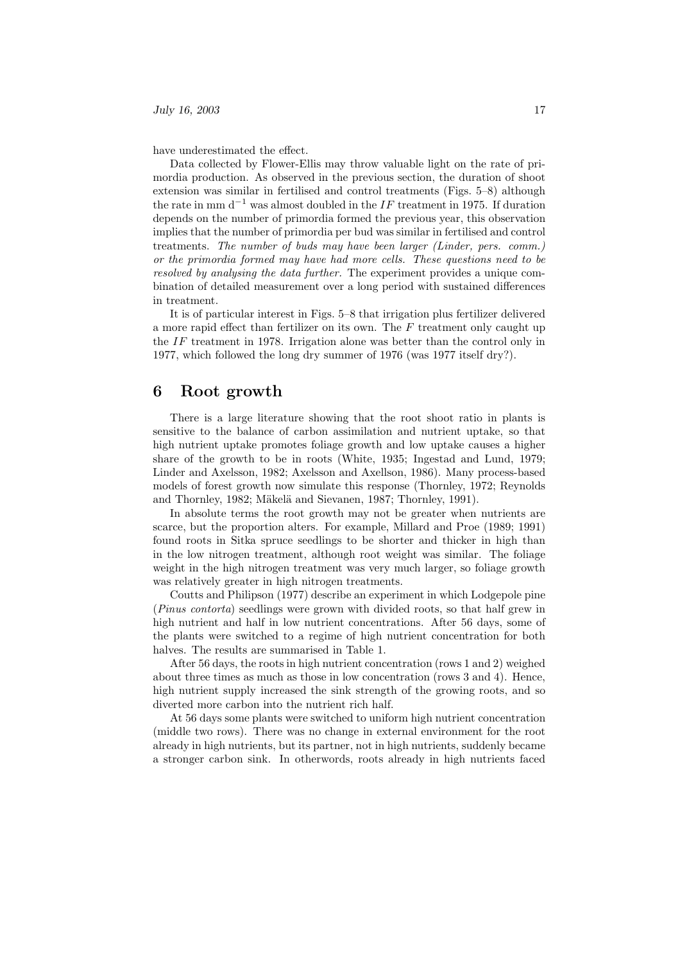have underestimated the effect.

Data collected by Flower-Ellis may throw valuable light on the rate of primordia production. As observed in the previous section, the duration of shoot extension was similar in fertilised and control treatments (Figs. 5–8) although the rate in mm d<sup>-1</sup> was almost doubled in the IF treatment in 1975. If duration depends on the number of primordia formed the previous year, this observation implies that the number of primordia per bud was similar in fertilised and control treatments. The number of buds may have been larger (Linder, pers. comm.) or the primordia formed may have had more cells. These questions need to be resolved by analysing the data further. The experiment provides a unique combination of detailed measurement over a long period with sustained differences in treatment.

It is of particular interest in Figs. 5–8 that irrigation plus fertilizer delivered a more rapid effect than fertilizer on its own. The  $F$  treatment only caught up the IF treatment in 1978. Irrigation alone was better than the control only in 1977, which followed the long dry summer of 1976 (was 1977 itself dry?).

### 6 Root growth

There is a large literature showing that the root shoot ratio in plants is sensitive to the balance of carbon assimilation and nutrient uptake, so that high nutrient uptake promotes foliage growth and low uptake causes a higher share of the growth to be in roots (White, 1935; Ingestad and Lund, 1979; Linder and Axelsson, 1982; Axelsson and Axellson, 1986). Many process-based models of forest growth now simulate this response (Thornley, 1972; Reynolds and Thornley, 1982; Mäkelä and Sievanen, 1987; Thornley, 1991).

In absolute terms the root growth may not be greater when nutrients are scarce, but the proportion alters. For example, Millard and Proe (1989; 1991) found roots in Sitka spruce seedlings to be shorter and thicker in high than in the low nitrogen treatment, although root weight was similar. The foliage weight in the high nitrogen treatment was very much larger, so foliage growth was relatively greater in high nitrogen treatments.

Coutts and Philipson (1977) describe an experiment in which Lodgepole pine (Pinus contorta) seedlings were grown with divided roots, so that half grew in high nutrient and half in low nutrient concentrations. After 56 days, some of the plants were switched to a regime of high nutrient concentration for both halves. The results are summarised in Table 1.

After 56 days, the roots in high nutrient concentration (rows 1 and 2) weighed about three times as much as those in low concentration (rows 3 and 4). Hence, high nutrient supply increased the sink strength of the growing roots, and so diverted more carbon into the nutrient rich half.

At 56 days some plants were switched to uniform high nutrient concentration (middle two rows). There was no change in external environment for the root already in high nutrients, but its partner, not in high nutrients, suddenly became a stronger carbon sink. In otherwords, roots already in high nutrients faced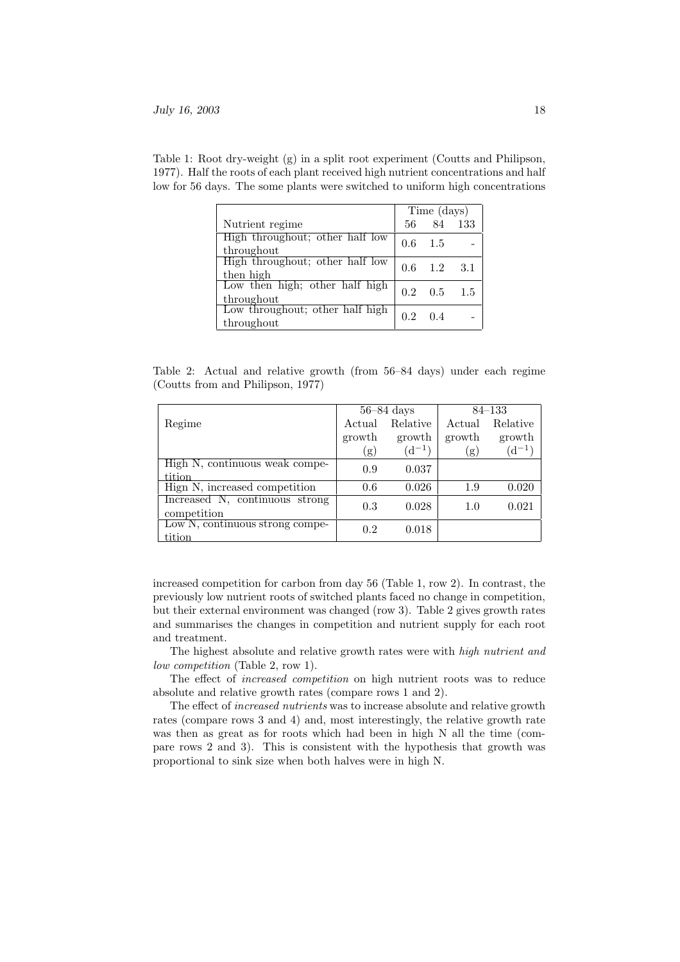|                                               | Time (days) |     |     |
|-----------------------------------------------|-------------|-----|-----|
| Nutrient regime                               | 56          | 84  | 133 |
| High throughout; other half low<br>throughout | 0.6         | 1.5 |     |
| High throughout; other half low<br>then high  | 0.6         | 1.2 | 3.1 |
| Low then high; other half high<br>throughout  | 0.2         | 0.5 | 1.5 |
| Low throughout; other half high<br>throughout | 0.2         | 0.4 |     |

Table 1: Root dry-weight (g) in a split root experiment (Coutts and Philipson, 1977). Half the roots of each plant received high nutrient concentrations and half low for 56 days. The some plants were switched to uniform high concentrations

Table 2: Actual and relative growth (from 56–84 days) under each regime (Coutts from and Philipson, 1977)

|                                               | $56 - 84$ days |            | $84 - 133$ |            |
|-----------------------------------------------|----------------|------------|------------|------------|
| Regime                                        | Actual         | Relative   | Actual     | Relative   |
|                                               | growth         | growth     | growth     | growth     |
|                                               | (g)            | $(d^{-1})$ | (g)        | $(d^{-1})$ |
| High N, continuous weak compe-                | 0.9            | 0.037      |            |            |
| tition                                        |                |            |            |            |
| High N, increased competition                 | 0.6            | 0.026      | 1.9        | 0.020      |
| Increased N, continuous strong<br>competition | 0.3            | 0.028      | 1.0        | 0.021      |
| Low N, continuous strong compe-<br>tition     | 0.2            | 0.018      |            |            |

increased competition for carbon from day 56 (Table 1, row 2). In contrast, the previously low nutrient roots of switched plants faced no change in competition, but their external environment was changed (row 3). Table 2 gives growth rates and summarises the changes in competition and nutrient supply for each root and treatment.

The highest absolute and relative growth rates were with high nutrient and low competition (Table 2, row 1).

The effect of increased competition on high nutrient roots was to reduce absolute and relative growth rates (compare rows 1 and 2).

The effect of increased nutrients was to increase absolute and relative growth rates (compare rows 3 and 4) and, most interestingly, the relative growth rate was then as great as for roots which had been in high N all the time (compare rows 2 and 3). This is consistent with the hypothesis that growth was proportional to sink size when both halves were in high N.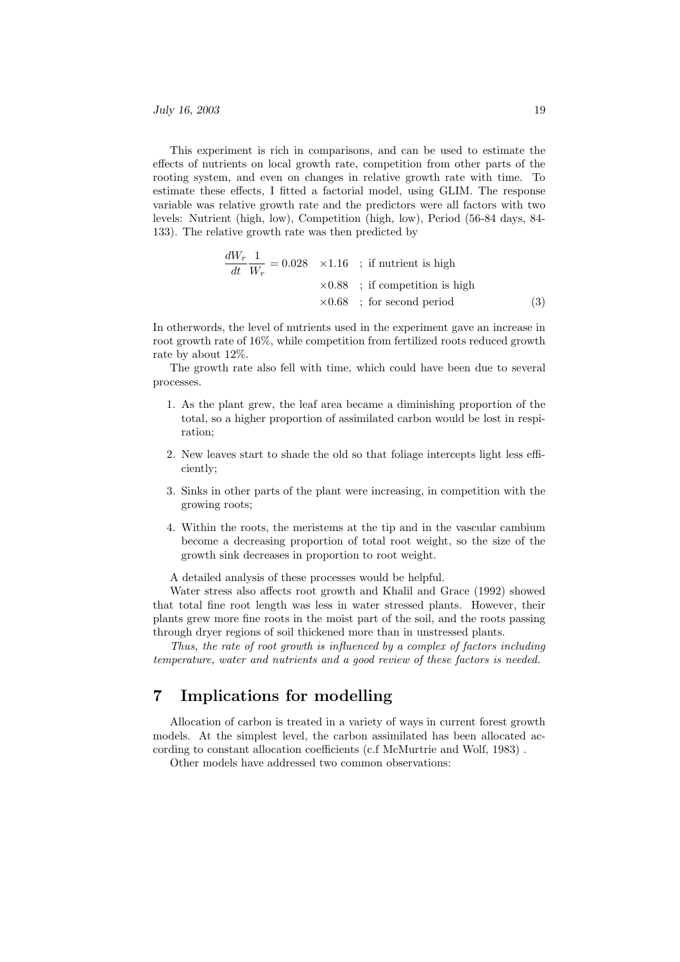This experiment is rich in comparisons, and can be used to estimate the effects of nutrients on local growth rate, competition from other parts of the rooting system, and even on changes in relative growth rate with time. To estimate these effects, I fitted a factorial model, using GLIM. The response variable was relative growth rate and the predictors were all factors with two levels: Nutrient (high, low), Competition (high, low), Period (56-84 days, 84- 133). The relative growth rate was then predicted by

$$
\frac{dW_r}{dt} \frac{1}{W_r} = 0.028 \times 1.16 \quad ; \text{ if nutrient is high} \n\times 0.88 \quad ; \text{ if competition is high} \n\times 0.68 \quad ; \text{ for second period} \tag{3}
$$

In otherwords, the level of nutrients used in the experiment gave an increase in root growth rate of 16%, while competition from fertilized roots reduced growth rate by about 12%.

The growth rate also fell with time, which could have been due to several processes.

- 1. As the plant grew, the leaf area became a diminishing proportion of the total, so a higher proportion of assimilated carbon would be lost in respiration;
- 2. New leaves start to shade the old so that foliage intercepts light less efficiently;
- 3. Sinks in other parts of the plant were increasing, in competition with the growing roots;
- 4. Within the roots, the meristems at the tip and in the vascular cambium become a decreasing proportion of total root weight, so the size of the growth sink decreases in proportion to root weight.

A detailed analysis of these processes would be helpful.

Water stress also affects root growth and Khalil and Grace (1992) showed that total fine root length was less in water stressed plants. However, their plants grew more fine roots in the moist part of the soil, and the roots passing through dryer regions of soil thickened more than in unstressed plants.

Thus, the rate of root growth is influenced by a complex of factors including temperature, water and nutrients and a good review of these factors is needed.

# 7 Implications for modelling

Allocation of carbon is treated in a variety of ways in current forest growth models. At the simplest level, the carbon assimilated has been allocated according to constant allocation coefficients (c.f McMurtrie and Wolf, 1983) .

Other models have addressed two common observations: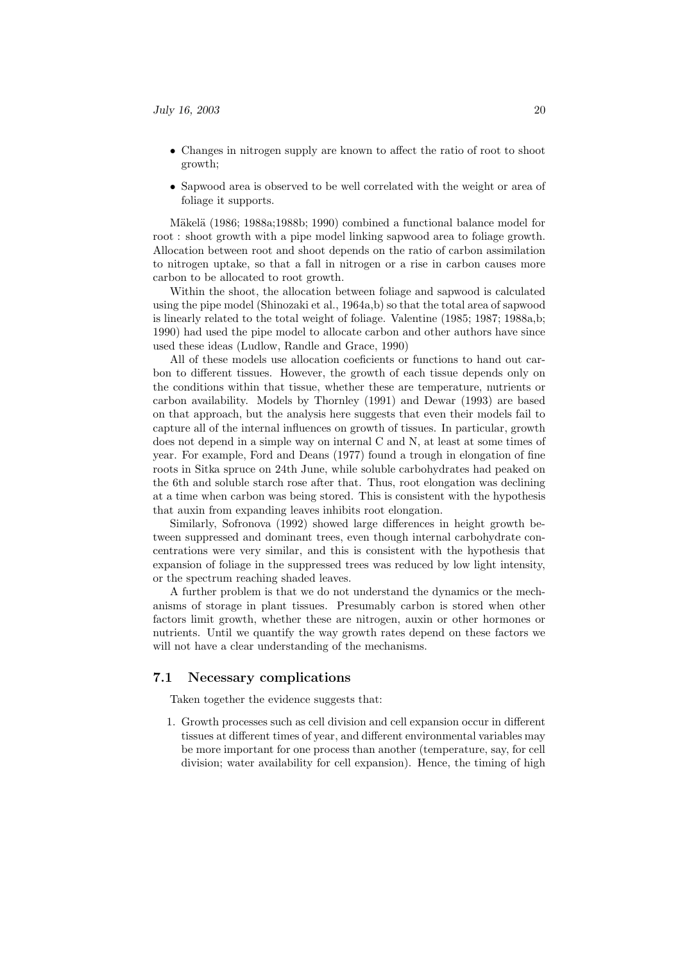- Changes in nitrogen supply are known to affect the ratio of root to shoot growth;
- Sapwood area is observed to be well correlated with the weight or area of foliage it supports.

Mäkelä (1986; 1988a;1988b; 1990) combined a functional balance model for root : shoot growth with a pipe model linking sapwood area to foliage growth. Allocation between root and shoot depends on the ratio of carbon assimilation to nitrogen uptake, so that a fall in nitrogen or a rise in carbon causes more carbon to be allocated to root growth.

Within the shoot, the allocation between foliage and sapwood is calculated using the pipe model (Shinozaki et al., 1964a,b) so that the total area of sapwood is linearly related to the total weight of foliage. Valentine (1985; 1987; 1988a,b; 1990) had used the pipe model to allocate carbon and other authors have since used these ideas (Ludlow, Randle and Grace, 1990)

All of these models use allocation coeficients or functions to hand out carbon to different tissues. However, the growth of each tissue depends only on the conditions within that tissue, whether these are temperature, nutrients or carbon availability. Models by Thornley (1991) and Dewar (1993) are based on that approach, but the analysis here suggests that even their models fail to capture all of the internal influences on growth of tissues. In particular, growth does not depend in a simple way on internal C and N, at least at some times of year. For example, Ford and Deans (1977) found a trough in elongation of fine roots in Sitka spruce on 24th June, while soluble carbohydrates had peaked on the 6th and soluble starch rose after that. Thus, root elongation was declining at a time when carbon was being stored. This is consistent with the hypothesis that auxin from expanding leaves inhibits root elongation.

Similarly, Sofronova (1992) showed large differences in height growth between suppressed and dominant trees, even though internal carbohydrate concentrations were very similar, and this is consistent with the hypothesis that expansion of foliage in the suppressed trees was reduced by low light intensity, or the spectrum reaching shaded leaves.

A further problem is that we do not understand the dynamics or the mechanisms of storage in plant tissues. Presumably carbon is stored when other factors limit growth, whether these are nitrogen, auxin or other hormones or nutrients. Until we quantify the way growth rates depend on these factors we will not have a clear understanding of the mechanisms.

#### 7.1 Necessary complications

Taken together the evidence suggests that:

1. Growth processes such as cell division and cell expansion occur in different tissues at different times of year, and different environmental variables may be more important for one process than another (temperature, say, for cell division; water availability for cell expansion). Hence, the timing of high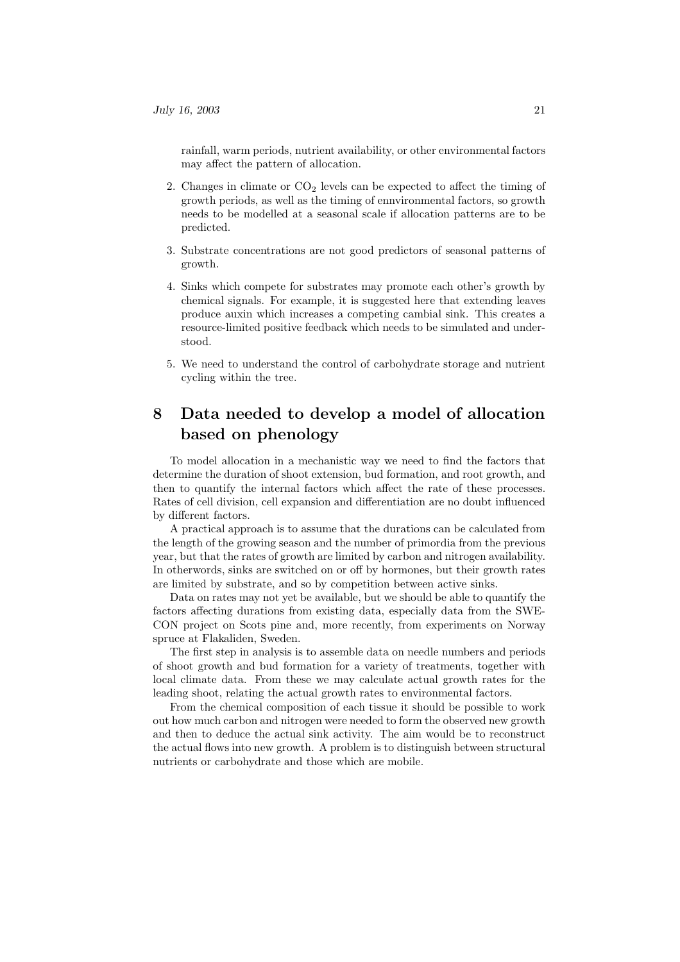rainfall, warm periods, nutrient availability, or other environmental factors may affect the pattern of allocation.

- 2. Changes in climate or  $CO<sub>2</sub>$  levels can be expected to affect the timing of growth periods, as well as the timing of ennvironmental factors, so growth needs to be modelled at a seasonal scale if allocation patterns are to be predicted.
- 3. Substrate concentrations are not good predictors of seasonal patterns of growth.
- 4. Sinks which compete for substrates may promote each other's growth by chemical signals. For example, it is suggested here that extending leaves produce auxin which increases a competing cambial sink. This creates a resource-limited positive feedback which needs to be simulated and understood.
- 5. We need to understand the control of carbohydrate storage and nutrient cycling within the tree.

# 8 Data needed to develop a model of allocation based on phenology

To model allocation in a mechanistic way we need to find the factors that determine the duration of shoot extension, bud formation, and root growth, and then to quantify the internal factors which affect the rate of these processes. Rates of cell division, cell expansion and differentiation are no doubt influenced by different factors.

A practical approach is to assume that the durations can be calculated from the length of the growing season and the number of primordia from the previous year, but that the rates of growth are limited by carbon and nitrogen availability. In otherwords, sinks are switched on or off by hormones, but their growth rates are limited by substrate, and so by competition between active sinks.

Data on rates may not yet be available, but we should be able to quantify the factors affecting durations from existing data, especially data from the SWE-CON project on Scots pine and, more recently, from experiments on Norway spruce at Flakaliden, Sweden.

The first step in analysis is to assemble data on needle numbers and periods of shoot growth and bud formation for a variety of treatments, together with local climate data. From these we may calculate actual growth rates for the leading shoot, relating the actual growth rates to environmental factors.

From the chemical composition of each tissue it should be possible to work out how much carbon and nitrogen were needed to form the observed new growth and then to deduce the actual sink activity. The aim would be to reconstruct the actual flows into new growth. A problem is to distinguish between structural nutrients or carbohydrate and those which are mobile.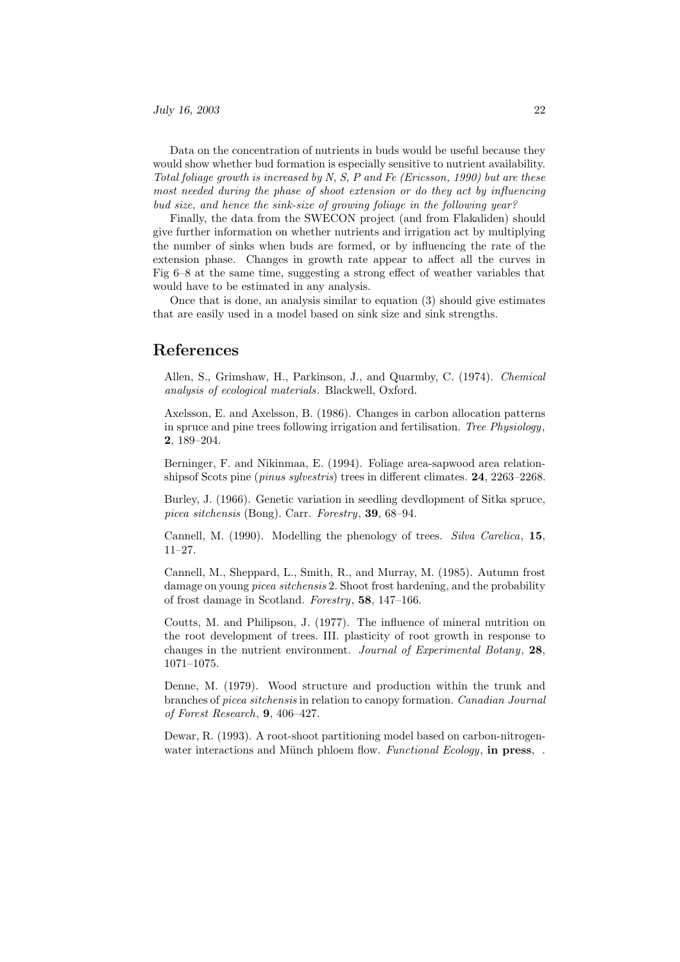Data on the concentration of nutrients in buds would be useful because they would show whether bud formation is especially sensitive to nutrient availability. Total foliage growth is increased by N, S, P and Fe (Ericsson, 1990) but are these most needed during the phase of shoot extension or do they act by influencing bud size, and hence the sink-size of growing foliage in the following year?

Finally, the data from the SWECON project (and from Flakaliden) should give further information on whether nutrients and irrigation act by multiplying the number of sinks when buds are formed, or by influencing the rate of the extension phase. Changes in growth rate appear to affect all the curves in Fig 6–8 at the same time, suggesting a strong effect of weather variables that would have to be estimated in any analysis.

Once that is done, an analysis similar to equation (3) should give estimates that are easily used in a model based on sink size and sink strengths.

### References

Allen, S., Grimshaw, H., Parkinson, J., and Quarmby, C. (1974). Chemical analysis of ecological materials. Blackwell, Oxford.

Axelsson, E. and Axelsson, B. (1986). Changes in carbon allocation patterns in spruce and pine trees following irrigation and fertilisation. Tree Physiology, 2, 189–204.

Berninger, F. and Nikinmaa, E. (1994). Foliage area-sapwood area relationshipsof Scots pine (pinus sylvestris) trees in different climates. 24, 2263–2268.

Burley, J. (1966). Genetic variation in seedling devdlopment of Sitka spruce, picea sitchensis (Bong). Carr. Forestry, 39, 68–94.

Cannell, M. (1990). Modelling the phenology of trees. Silva Carelica, 15, 11–27.

Cannell, M., Sheppard, L., Smith, R., and Murray, M. (1985). Autumn frost damage on young *picea sitchensis* 2. Shoot frost hardening, and the probability of frost damage in Scotland. Forestry, 58, 147–166.

Coutts, M. and Philipson, J. (1977). The influence of mineral nutrition on the root development of trees. III. plasticity of root growth in response to changes in the nutrient environment. Journal of Experimental Botany, 28, 1071–1075.

Denne, M. (1979). Wood structure and production within the trunk and branches of picea sitchensis in relation to canopy formation. Canadian Journal of Forest Research, 9, 406–427.

Dewar, R. (1993). A root-shoot partitioning model based on carbon-nitrogenwater interactions and Münch phloem flow. Functional Ecology, in press,.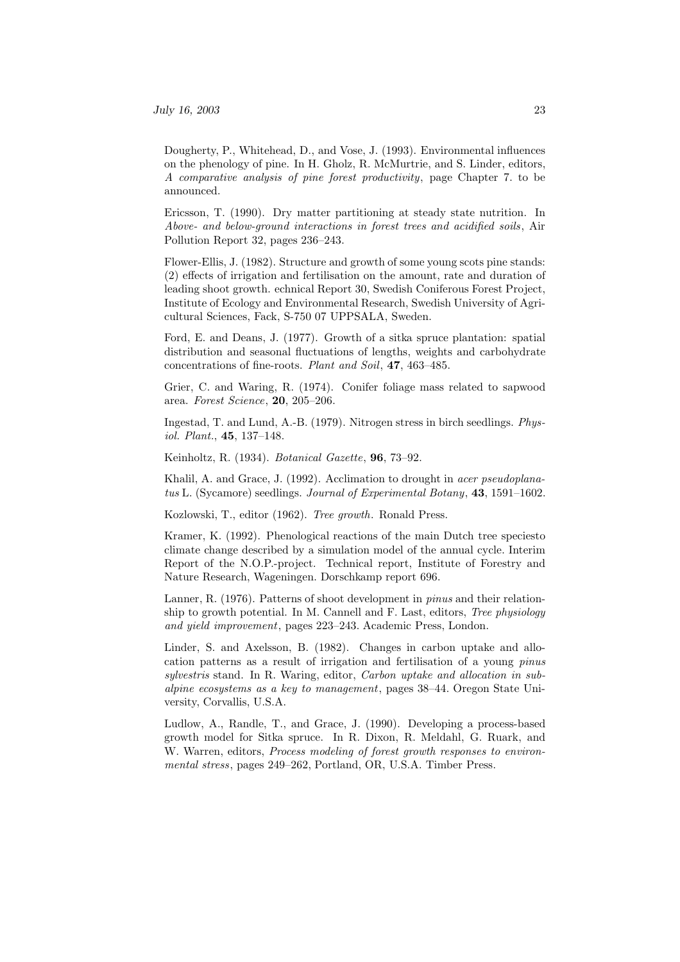Dougherty, P., Whitehead, D., and Vose, J. (1993). Environmental influences on the phenology of pine. In H. Gholz, R. McMurtrie, and S. Linder, editors, A comparative analysis of pine forest productivity, page Chapter 7. to be announced.

Ericsson, T. (1990). Dry matter partitioning at steady state nutrition. In Above- and below-ground interactions in forest trees and acidified soils, Air Pollution Report 32, pages 236–243.

Flower-Ellis, J. (1982). Structure and growth of some young scots pine stands: (2) effects of irrigation and fertilisation on the amount, rate and duration of leading shoot growth. echnical Report 30, Swedish Coniferous Forest Project, Institute of Ecology and Environmental Research, Swedish University of Agricultural Sciences, Fack, S-750 07 UPPSALA, Sweden.

Ford, E. and Deans, J. (1977). Growth of a sitka spruce plantation: spatial distribution and seasonal fluctuations of lengths, weights and carbohydrate concentrations of fine-roots. Plant and Soil, 47, 463–485.

Grier, C. and Waring, R. (1974). Conifer foliage mass related to sapwood area. Forest Science, 20, 205–206.

Ingestad, T. and Lund, A.-B. (1979). Nitrogen stress in birch seedlings. Physiol. Plant., 45, 137–148.

Keinholtz, R. (1934). Botanical Gazette, 96, 73–92.

Khalil, A. and Grace, J. (1992). Acclimation to drought in *acer pseudoplana*tus L. (Sycamore) seedlings. Journal of Experimental Botany, 43, 1591-1602.

Kozlowski, T., editor (1962). Tree growth. Ronald Press.

Kramer, K. (1992). Phenological reactions of the main Dutch tree speciesto climate change described by a simulation model of the annual cycle. Interim Report of the N.O.P.-project. Technical report, Institute of Forestry and Nature Research, Wageningen. Dorschkamp report 696.

Lanner, R. (1976). Patterns of shoot development in pinus and their relationship to growth potential. In M. Cannell and F. Last, editors, Tree physiology and yield improvement, pages 223–243. Academic Press, London.

Linder, S. and Axelsson, B. (1982). Changes in carbon uptake and allocation patterns as a result of irrigation and fertilisation of a young pinus sylvestris stand. In R. Waring, editor, Carbon uptake and allocation in subalpine ecosystems as a key to management, pages 38–44. Oregon State University, Corvallis, U.S.A.

Ludlow, A., Randle, T., and Grace, J. (1990). Developing a process-based growth model for Sitka spruce. In R. Dixon, R. Meldahl, G. Ruark, and W. Warren, editors, *Process modeling of forest growth responses to environ*mental stress, pages 249–262, Portland, OR, U.S.A. Timber Press.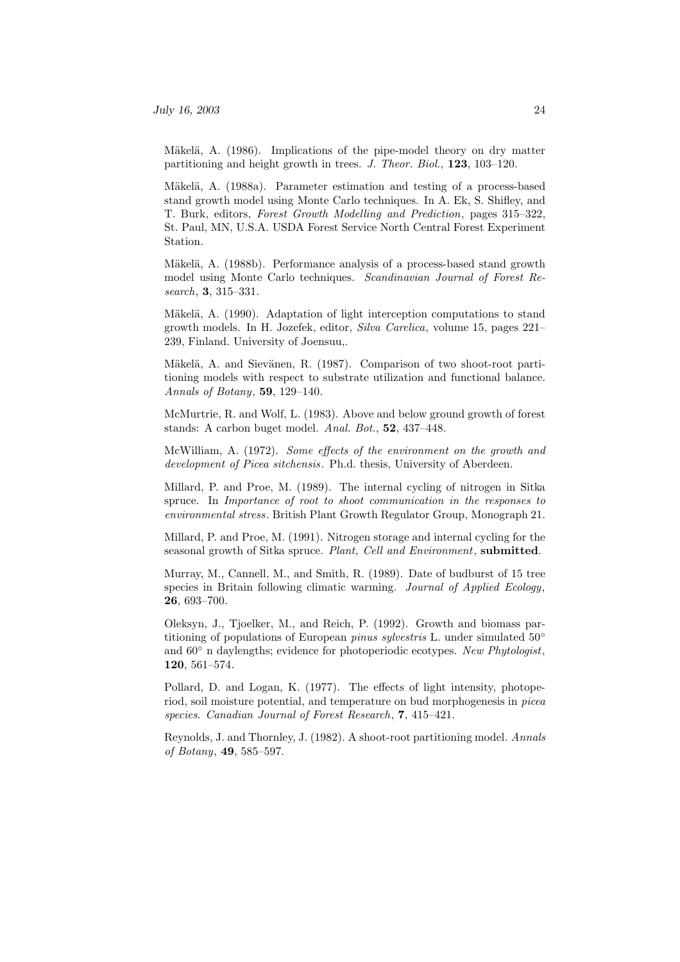Mäkelä, A. (1986). Implications of the pipe-model theory on dry matter partitioning and height growth in trees. J. Theor. Biol., 123, 103–120.

Mäkelä, A. (1988a). Parameter estimation and testing of a process-based stand growth model using Monte Carlo techniques. In A. Ek, S. Shifley, and T. Burk, editors, Forest Growth Modelling and Prediction, pages 315–322, St. Paul, MN, U.S.A. USDA Forest Service North Central Forest Experiment Station.

Mäkelä, A. (1988b). Performance analysis of a process-based stand growth model using Monte Carlo techniques. Scandinavian Journal of Forest Research, 3, 315–331.

Mäkelä, A. (1990). Adaptation of light interception computations to stand growth models. In H. Jozefek, editor, Silva Carelica, volume 15, pages 221– 239, Finland. University of Joensuu,.

Mäkelä, A. and Sievänen, R. (1987). Comparison of two shoot-root partitioning models with respect to substrate utilization and functional balance. Annals of Botany, 59, 129–140.

McMurtrie, R. and Wolf, L. (1983). Above and below ground growth of forest stands: A carbon buget model. Anal. Bot., 52, 437–448.

McWilliam, A. (1972). Some effects of the environment on the growth and development of Picea sitchensis. Ph.d. thesis, University of Aberdeen.

Millard, P. and Proe, M. (1989). The internal cycling of nitrogen in Sitka spruce. In Importance of root to shoot communication in the responses to environmental stress. British Plant Growth Regulator Group, Monograph 21.

Millard, P. and Proe, M. (1991). Nitrogen storage and internal cycling for the seasonal growth of Sitka spruce. Plant, Cell and Environment, submitted.

Murray, M., Cannell, M., and Smith, R. (1989). Date of budburst of 15 tree species in Britain following climatic warming. Journal of Applied Ecology, 26, 693–700.

Oleksyn, J., Tjoelker, M., and Reich, P. (1992). Growth and biomass partitioning of populations of European *pinus sylvestris* L. under simulated  $50^{\circ}$ and  $60°$  n daylengths; evidence for photoperiodic ecotypes. New Phytologist, 120, 561–574.

Pollard, D. and Logan, K. (1977). The effects of light intensity, photoperiod, soil moisture potential, and temperature on bud morphogenesis in picea species. Canadian Journal of Forest Research, 7, 415–421.

Reynolds, J. and Thornley, J. (1982). A shoot-root partitioning model. Annals of Botany, 49, 585–597.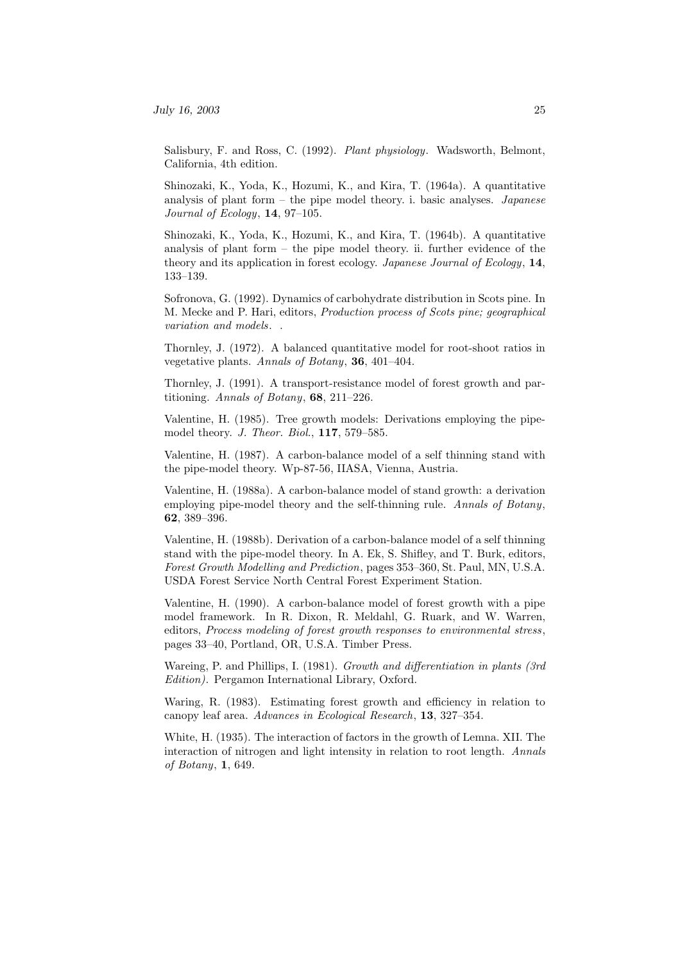Salisbury, F. and Ross, C. (1992). Plant physiology. Wadsworth, Belmont, California, 4th edition.

Shinozaki, K., Yoda, K., Hozumi, K., and Kira, T. (1964a). A quantitative analysis of plant form – the pipe model theory. i. basic analyses. Japanese Journal of Ecology, 14, 97–105.

Shinozaki, K., Yoda, K., Hozumi, K., and Kira, T. (1964b). A quantitative analysis of plant form  $-$  the pipe model theory. ii. further evidence of the theory and its application in forest ecology. Japanese Journal of Ecology, 14, 133–139.

Sofronova, G. (1992). Dynamics of carbohydrate distribution in Scots pine. In M. Mecke and P. Hari, editors, Production process of Scots pine; geographical variation and models. .

Thornley, J. (1972). A balanced quantitative model for root-shoot ratios in vegetative plants. Annals of Botany, 36, 401–404.

Thornley, J. (1991). A transport-resistance model of forest growth and partitioning. Annals of Botany, 68, 211–226.

Valentine, H. (1985). Tree growth models: Derivations employing the pipemodel theory. J. Theor. Biol., 117, 579–585.

Valentine, H. (1987). A carbon-balance model of a self thinning stand with the pipe-model theory. Wp-87-56, IIASA, Vienna, Austria.

Valentine, H. (1988a). A carbon-balance model of stand growth: a derivation employing pipe-model theory and the self-thinning rule. Annals of Botany, 62, 389–396.

Valentine, H. (1988b). Derivation of a carbon-balance model of a self thinning stand with the pipe-model theory. In A. Ek, S. Shifley, and T. Burk, editors, Forest Growth Modelling and Prediction, pages 353–360, St. Paul, MN, U.S.A. USDA Forest Service North Central Forest Experiment Station.

Valentine, H. (1990). A carbon-balance model of forest growth with a pipe model framework. In R. Dixon, R. Meldahl, G. Ruark, and W. Warren, editors, Process modeling of forest growth responses to environmental stress, pages 33–40, Portland, OR, U.S.A. Timber Press.

Wareing, P. and Phillips, I. (1981). Growth and differentiation in plants (3rd Edition). Pergamon International Library, Oxford.

Waring, R. (1983). Estimating forest growth and efficiency in relation to canopy leaf area. Advances in Ecological Research, 13, 327–354.

White, H. (1935). The interaction of factors in the growth of Lemna. XII. The interaction of nitrogen and light intensity in relation to root length. Annals of Botany, 1, 649.